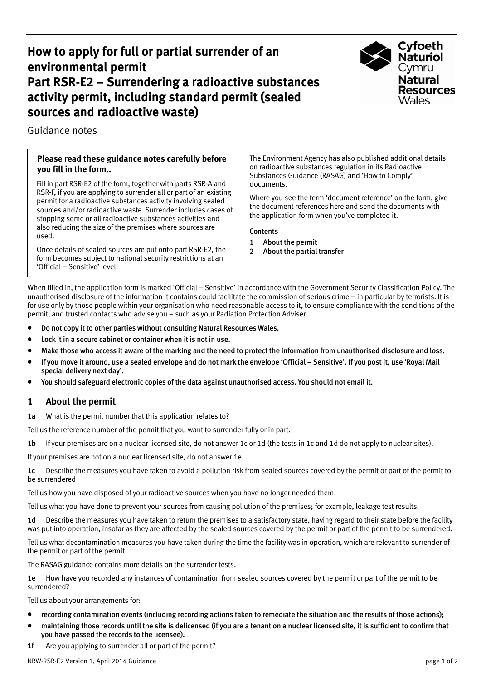# **How to apply for full or partial surrender of an environmental permit Part RSR-E2 – Surrendering a radioactive substances activity permit, including standard permit (sealed sources and radioactive waste)**



Guidance notes

### **Please read these guidance notes carefully before you fill in the form..**

Fill in part RSR-E2 of the form, together with parts RSR-A and RSR-F, if you are applying to surrender all or part of an existing permit for a radioactive substances activity involving sealed sources and/or radioactive waste. Surrender includes cases of stopping some or all radioactive substances activities and also reducing the size of the premises where sources are used.

Once details of sealed sources are put onto part RSR-E2, the form becomes subject to national security restrictions at an 'Official – Sensitive' level.

The Environment Agency has also published additional details on radioactive substances regulation in its Radioactive Substances Guidance (RASAG) and 'How to Comply' documents.

Where you see the term 'document reference' on the form, give the document references here and send the documents with the application form when you've completed it.

#### Contents

- 1 About the permit
- 2 About the partial transfer

When filled in, the application form is marked 'Official – Sensitive' in accordance with the Government Security Classification Policy. The unauthorised disclosure of the information it contains could facilitate the commission of serious crime – in particular by terrorists. It is for use only by those people within your organisation who need reasonable access to it, to ensure compliance with the conditions of the permit, and trusted contacts who advise you – such as your Radiation Protection Adviser.

- Do not copy it to other parties without consulting Natural Resources Wales.
- Lock it in a secure cabinet or container when it is not in use.
- Make those who access it aware of the marking and the need to protect the information from unauthorised disclosure and loss.
- If you move it around, use a sealed envelope and do not mark the envelope 'Official Sensitive'. If you post it, use 'Royal Mail special delivery next day'.
- You should safeguard electronic copies of the data against unauthorised access. You should not email it.

## **1 About the permit**

1a What is the permit number that this application relates to?

Tell us the reference number of the permit that you want to surrender fully or in part.

1b If your premises are on a nuclear licensed site, do not answer 1c or 1d (the tests in 1c and 1d do not apply to nuclear sites).

If your premises are not on a nuclear licensed site, do not answer 1e.

1c Describe the measures you have taken to avoid a pollution risk from sealed sources covered by the permit or part of the permit to be surrendered

Tell us how you have disposed of your radioactive sources when you have no longer needed them.

Tell us what you have done to prevent your sources from causing pollution of the premises; for example, leakage test results.

1d Describe the measures you have taken to return the premises to a satisfactory state, having regard to their state before the facility was put into operation, insofar as they are affected by the sealed sources covered by the permit or part of the permit to be surrendered.

Tell us what decontamination measures you have taken during the time the facility was in operation, which are relevant to surrender of the permit or part of the permit.

The RASAG guidance contains more details on the surrender tests.

1e How have you recorded any instances of contamination from sealed sources covered by the permit or part of the permit to be surrendered?

Tell us about your arrangements for:

- recording contamination events (including recording actions taken to remediate the situation and the results of those actions);
- maintaining those records until the site is delicensed (if you are a tenant on a nuclear licensed site, it is sufficient to confirm that you have passed the records to the licensee).
- 1f Are you applying to surrender all or part of the permit?